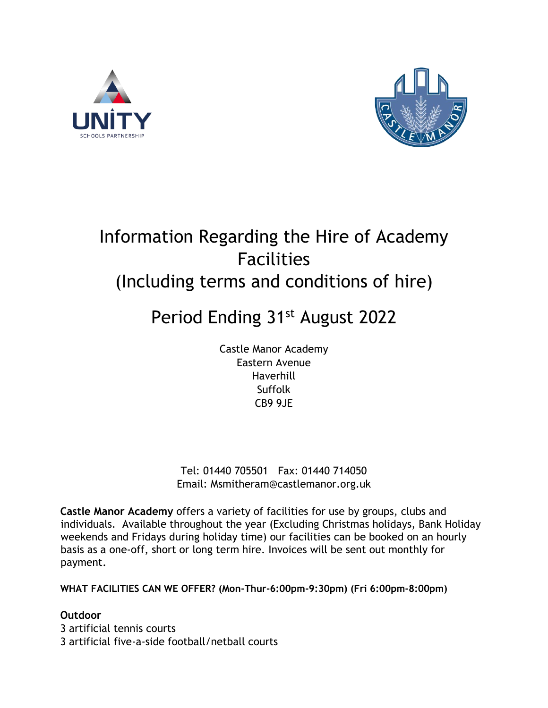



## Information Regarding the Hire of Academy Facilities (Including terms and conditions of hire)

# Period Ending 31st August 2022

Castle Manor Academy Eastern Avenue Haverhill Suffolk CB9 9JE

Tel: 01440 705501 Fax: 01440 714050 Email: Msmitheram@castlemanor.org.uk

**Castle Manor Academy** offers a variety of facilities for use by groups, clubs and individuals. Available throughout the year (Excluding Christmas holidays, Bank Holiday weekends and Fridays during holiday time) our facilities can be booked on an hourly basis as a one-off, short or long term hire. Invoices will be sent out monthly for payment.

**WHAT FACILITIES CAN WE OFFER? (Mon-Thur-6:00pm-9:30pm) (Fri 6:00pm-8:00pm)** 

## **Outdoor**

3 artificial tennis courts 3 artificial five-a-side football/netball courts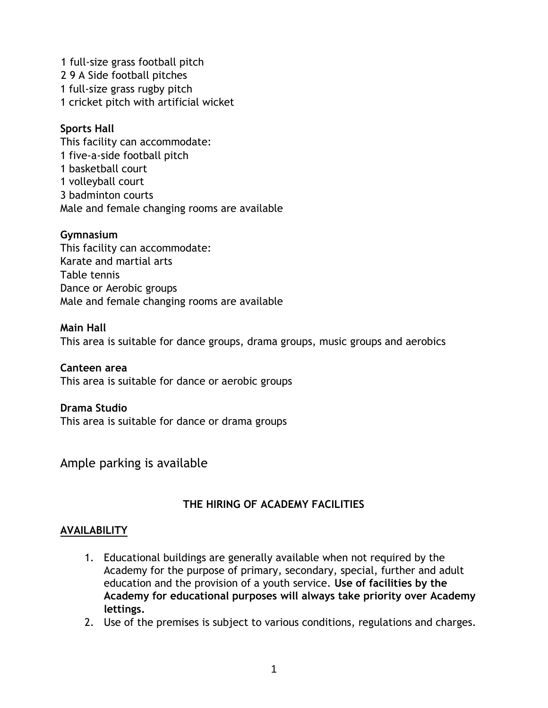1 full-size grass football pitch 2 9 A Side football pitches 1 full-size grass rugby pitch 1 cricket pitch with artificial wicket

## **Sports Hall**

This facility can accommodate: 1 five-a-side football pitch 1 basketball court 1 volleyball court 3 badminton courts Male and female changing rooms are available

#### **Gymnasium**

This facility can accommodate: Karate and martial arts Table tennis Dance or Aerobic groups Male and female changing rooms are available

#### **Main Hall**

This area is suitable for dance groups, drama groups, music groups and aerobics

### **Canteen area**

This area is suitable for dance or aerobic groups

#### **Drama Studio**

This area is suitable for dance or drama groups

Ample parking is available

### **THE HIRING OF ACADEMY FACILITIES**

#### **AVAILABILITY**

- 1. Educational buildings are generally available when not required by the Academy for the purpose of primary, secondary, special, further and adult education and the provision of a youth service. **Use of facilities by the Academy for educational purposes will always take priority over Academy lettings.**
- 2. Use of the premises is subject to various conditions, regulations and charges.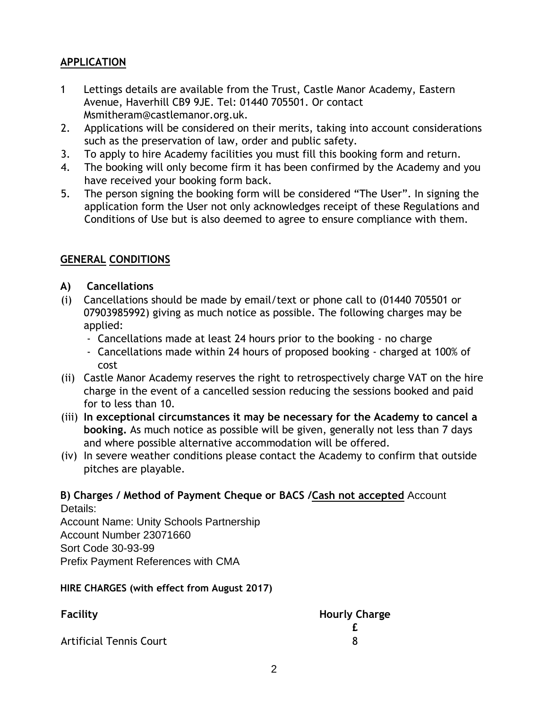## **APPLICATION**

- 1 Lettings details are available from the Trust, Castle Manor Academy, Eastern Avenue, Haverhill CB9 9JE. Tel: 01440 705501. Or contact Msmitheram@castlemanor.org.uk.
- 2. Applications will be considered on their merits, taking into account considerations such as the preservation of law, order and public safety.
- 3. To apply to hire Academy facilities you must fill this booking form and return.
- 4. The booking will only become firm it has been confirmed by the Academy and you have received your booking form back.
- 5. The person signing the booking form will be considered "The User". In signing the application form the User not only acknowledges receipt of these Regulations and Conditions of Use but is also deemed to agree to ensure compliance with them.

## **GENERAL CONDITIONS**

- **A) Cancellations**
- (i) Cancellations should be made by email/text or phone call to (01440 705501 or 07903985992) giving as much notice as possible. The following charges may be applied:
	- Cancellations made at least 24 hours prior to the booking no charge
	- Cancellations made within 24 hours of proposed booking charged at 100% of cost
- (ii) Castle Manor Academy reserves the right to retrospectively charge VAT on the hire charge in the event of a cancelled session reducing the sessions booked and paid for to less than 10.
- (iii) **In exceptional circumstances it may be necessary for the Academy to cancel a booking.** As much notice as possible will be given, generally not less than 7 days and where possible alternative accommodation will be offered.
- (iv) In severe weather conditions please contact the Academy to confirm that outside pitches are playable.

### **B) Charges / Method of Payment Cheque or BACS /Cash not accepted** Account Details:

Account Name: Unity Schools Partnership Account Number 23071660 Sort Code 30-93-99 Prefix Payment References with CMA

### **HIRE CHARGES (with effect from August 2017)**

| Facility                       | <b>Hourly Charge</b> |  |
|--------------------------------|----------------------|--|
|                                |                      |  |
| <b>Artificial Tennis Court</b> |                      |  |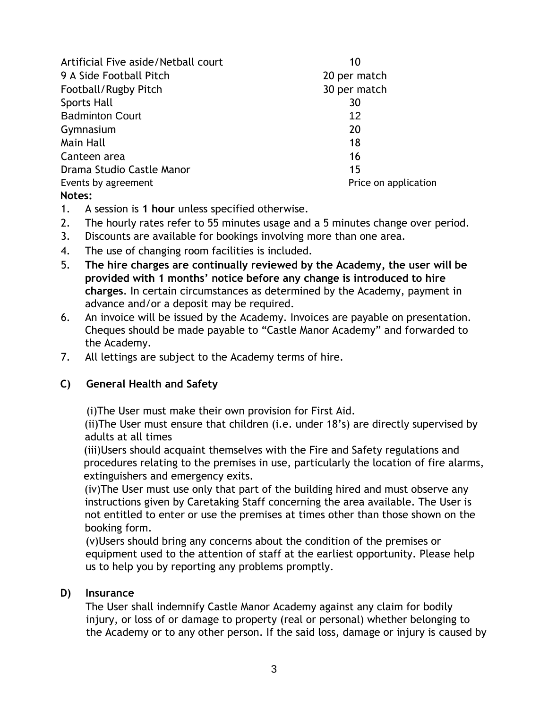| Artificial Five aside/Netball court | 10                   |
|-------------------------------------|----------------------|
| 9 A Side Football Pitch             | 20 per match         |
| Football/Rugby Pitch                | 30 per match         |
| <b>Sports Hall</b>                  | 30                   |
| <b>Badminton Court</b>              | 12                   |
| Gymnasium                           | 20                   |
| Main Hall                           | 18                   |
| Canteen area                        | 16                   |
| Drama Studio Castle Manor           | 15                   |
| Events by agreement                 | Price on application |
| Notes:                              |                      |

- 1. A session is **1 hour** unless specified otherwise.
- 2. The hourly rates refer to 55 minutes usage and a 5 minutes change over period.
- 3. Discounts are available for bookings involving more than one area.
- 4. The use of changing room facilities is included.
- 5. **The hire charges are continually reviewed by the Academy, the user will be provided with 1 months' notice before any change is introduced to hire charges**. In certain circumstances as determined by the Academy, payment in advance and/or a deposit may be required.
- 6. An invoice will be issued by the Academy. Invoices are payable on presentation. Cheques should be made payable to "Castle Manor Academy" and forwarded to the Academy.
- 7. All lettings are subject to the Academy terms of hire.

### **C) General Health and Safety**

(i)The User must make their own provision for First Aid.

(ii)The User must ensure that children (i.e. under 18's) are directly supervised by adults at all times

(iii)Users should acquaint themselves with the Fire and Safety regulations and procedures relating to the premises in use, particularly the location of fire alarms, extinguishers and emergency exits.

(iv)The User must use only that part of the building hired and must observe any instructions given by Caretaking Staff concerning the area available. The User is not entitled to enter or use the premises at times other than those shown on the booking form.

(v)Users should bring any concerns about the condition of the premises or equipment used to the attention of staff at the earliest opportunity. Please help us to help you by reporting any problems promptly.

#### **D) Insurance**

The User shall indemnify Castle Manor Academy against any claim for bodily injury, or loss of or damage to property (real or personal) whether belonging to the Academy or to any other person. If the said loss, damage or injury is caused by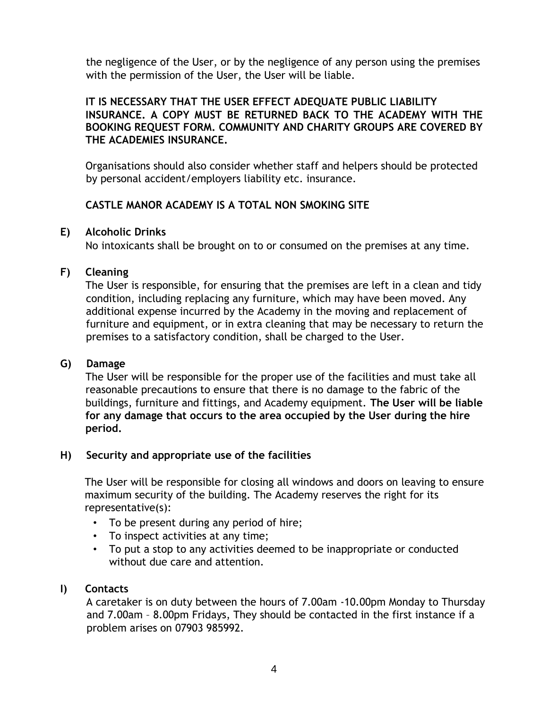the negligence of the User, or by the negligence of any person using the premises with the permission of the User, the User will be liable.

#### **IT IS NECESSARY THAT THE USER EFFECT ADEQUATE PUBLIC LIABILITY INSURANCE. A COPY MUST BE RETURNED BACK TO THE ACADEMY WITH THE BOOKING REQUEST FORM. COMMUNITY AND CHARITY GROUPS ARE COVERED BY THE ACADEMIES INSURANCE.**

Organisations should also consider whether staff and helpers should be protected by personal accident/employers liability etc. insurance.

## **CASTLE MANOR ACADEMY IS A TOTAL NON SMOKING SITE**

## **E) Alcoholic Drinks**

No intoxicants shall be brought on to or consumed on the premises at any time.

## **F) Cleaning**

The User is responsible, for ensuring that the premises are left in a clean and tidy condition, including replacing any furniture, which may have been moved. Any additional expense incurred by the Academy in the moving and replacement of furniture and equipment, or in extra cleaning that may be necessary to return the premises to a satisfactory condition, shall be charged to the User.

### **G) Damage**

The User will be responsible for the proper use of the facilities and must take all reasonable precautions to ensure that there is no damage to the fabric of the buildings, furniture and fittings, and Academy equipment. **The User will be liable for any damage that occurs to the area occupied by the User during the hire period.** 

### **H) Security and appropriate use of the facilities**

The User will be responsible for closing all windows and doors on leaving to ensure maximum security of the building. The Academy reserves the right for its representative(s):

- To be present during any period of hire;
- To inspect activities at any time;
- To put a stop to any activities deemed to be inappropriate or conducted without due care and attention.

## **I) Contacts**

A caretaker is on duty between the hours of 7.00am -10.00pm Monday to Thursday and 7.00am – 8.00pm Fridays, They should be contacted in the first instance if a problem arises on 07903 985992.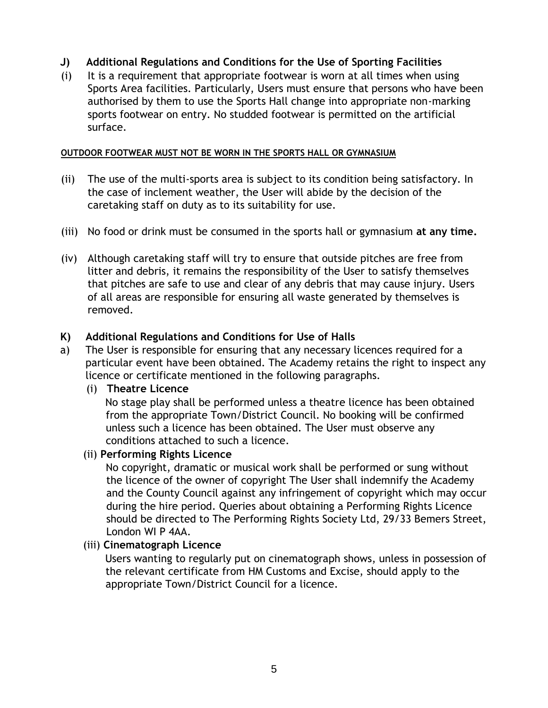## **J) Additional Regulations and Conditions for the Use of Sporting Facilities**

(i) It is a requirement that appropriate footwear is worn at all times when using Sports Area facilities. Particularly, Users must ensure that persons who have been authorised by them to use the Sports Hall change into appropriate non-marking sports footwear on entry. No studded footwear is permitted on the artificial surface.

#### **OUTDOOR FOOTWEAR MUST NOT BE WORN IN THE SPORTS HALL OR GYMNASIUM**

- (ii) The use of the multi-sports area is subject to its condition being satisfactory. In the case of inclement weather, the User will abide by the decision of the caretaking staff on duty as to its suitability for use.
- (iii) No food or drink must be consumed in the sports hall or gymnasium **at any time.**
- (iv) Although caretaking staff will try to ensure that outside pitches are free from litter and debris, it remains the responsibility of the User to satisfy themselves that pitches are safe to use and clear of any debris that may cause injury. Users of all areas are responsible for ensuring all waste generated by themselves is removed.

### **K) Additional Regulations and Conditions for Use of Halls**

- a) The User is responsible for ensuring that any necessary licences required for a particular event have been obtained. The Academy retains the right to inspect any licence or certificate mentioned in the following paragraphs.
	- (i) **Theatre Licence**

No stage play shall be performed unless a theatre licence has been obtained from the appropriate Town/District Council. No booking will be confirmed unless such a licence has been obtained. The User must observe any conditions attached to such a licence.

#### (ii) **Performing Rights Licence**

No copyright, dramatic or musical work shall be performed or sung without the licence of the owner of copyright The User shall indemnify the Academy and the County Council against any infringement of copyright which may occur during the hire period. Queries about obtaining a Performing Rights Licence should be directed to The Performing Rights Society Ltd, 29/33 Bemers Street, London WI P 4AA.

(iii) **Cinematograph Licence** 

Users wanting to regularly put on cinematograph shows, unless in possession of the relevant certificate from HM Customs and Excise, should apply to the appropriate Town/District Council for a licence.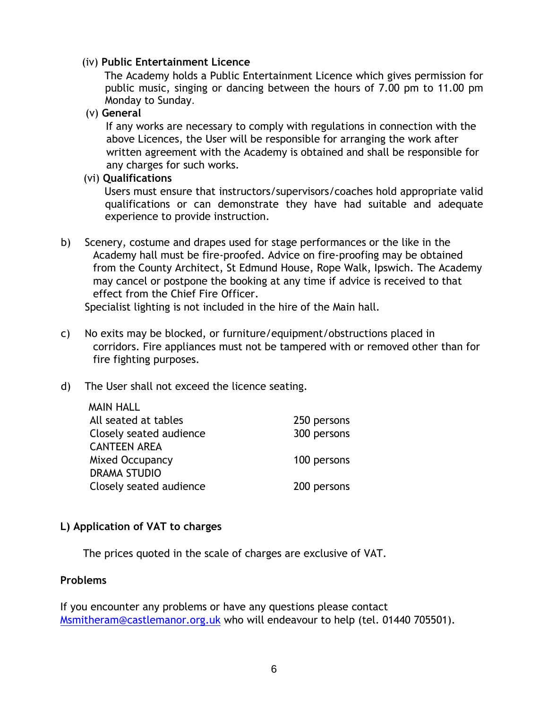#### (iv) **Public Entertainment Licence**

The Academy holds a Public Entertainment Licence which gives permission for public music, singing or dancing between the hours of 7.00 pm to 11.00 pm Monday to Sunday.

(v) **General** 

If any works are necessary to comply with regulations in connection with the above Licences, the User will be responsible for arranging the work after written agreement with the Academy is obtained and shall be responsible for any charges for such works.

(vi) **Qualifications** 

Users must ensure that instructors/supervisors/coaches hold appropriate valid qualifications or can demonstrate they have had suitable and adequate experience to provide instruction.

b) Scenery, costume and drapes used for stage performances or the like in the Academy hall must be fire-proofed. Advice on fire-proofing may be obtained from the County Architect, St Edmund House, Rope Walk, Ipswich. The Academy may cancel or postpone the booking at any time if advice is received to that effect from the Chief Fire Officer.

Specialist lighting is not included in the hire of the Main hall.

- c) No exits may be blocked, or furniture/equipment/obstructions placed in corridors. Fire appliances must not be tampered with or removed other than for fire fighting purposes.
- d) The User shall not exceed the licence seating.

| <b>MAIN HALL</b>        |             |
|-------------------------|-------------|
| All seated at tables    | 250 persons |
| Closely seated audience | 300 persons |
| <b>CANTEEN AREA</b>     |             |
| <b>Mixed Occupancy</b>  | 100 persons |
| <b>DRAMA STUDIO</b>     |             |
| Closely seated audience | 200 persons |

### **L) Application of VAT to charges**

The prices quoted in the scale of charges are exclusive of VAT.

#### **Problems**

If you encounter any problems or have any questions please contact Msmitheram@castlemanor.org.uk who will endeavour to help (tel. 01440 705501).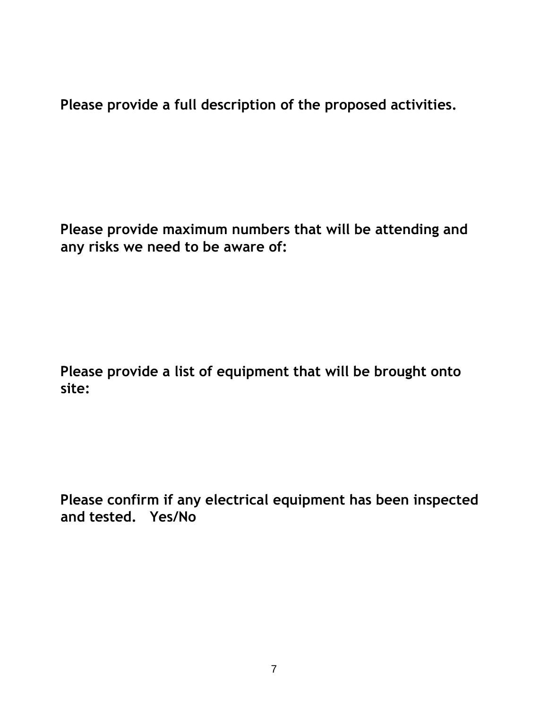**Please provide a full description of the proposed activities.** 

**Please provide maximum numbers that will be attending and any risks we need to be aware of:** 

**Please provide a list of equipment that will be brought onto site:** 

**Please confirm if any electrical equipment has been inspected and tested. Yes/No**